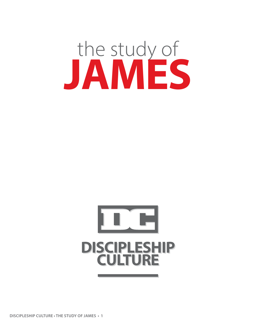# the study of **JAMES**



**DISCIPLESHIP CULTURE • THE STUDY OF JAMES • 1**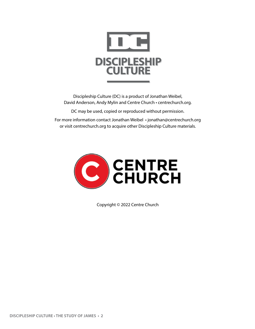

Discipleship Culture (DC) is a product of Jonathan Weibel, David Anderson, Andy Mylin and Centre Church • centrechurch.org.

DC may be used, copied or reproduced without permission.

For more information contact Jonathan Weibel • jonathan@centrechurch.org or visit centrechurch.org to acquire other Discipleship Culture materials.



Copyright © 2022 Centre Church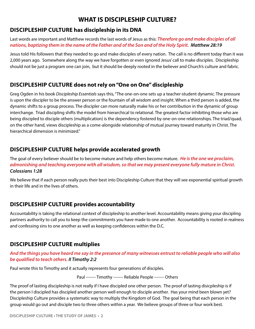# **WHAT IS DISCIPLESHIP CULTURE?**

## **DISCIPLESHIP CULTURE has discipleship in its DNA**

Last words are important and Matthew records the last words of Jesus as this: *Therefore go and make disciples of all nations, baptizing them in the name of the Father and of the Son and of the Holy Spirit. Matthew 28:19*

Jesus told His followers that they needed to go and make disciples of every nation. The call is no different today than it was 2,000 years ago. Somewhere along the way we have forgotten or even ignored Jesus' call to make disciples. Discipleship should not be just a program one can join, but it should be deeply rooted in the believer and Church's culture and fabric.

## **DISCIPLESHIP CULTURE does not rely on "One on One" discipleship**

Greg Ogden in his book *Discipleship Essentials* says this, "The one-on-one sets up a teacher-student dynamic. The pressure is upon the discipler to be the answer person or the fountain of all wisdom and insight. When a third person is added, the dynamic shifts to a group process. The discipler can more naturally make his or her contribution in the dynamic of group interchange. Triad discipling shifts the model from hierarchical to relational. The greatest factor inhibiting those who are being discipled to disciple others (multiplication) is the dependency fostered by one-on-one relationships. The triad/quad, on the other hand, views discipleship as a come-alongside relationship of mutual journey toward maturity in Christ. The hierarchical dimension is minimized."

## **DISCIPLESHIP CULTURE helps provide accelerated growth**

The goal of every believer should be to become mature and help others become mature. *He is the one we proclaim, admonishing and teaching everyone with all wisdom, so that we may present everyone fully mature in Christ. Colossians 1:28*

We believe that if each person really puts their best into Discipleship Culture that they will see exponential spiritual growth in their life and in the lives of others.

## **DISCIPLESHIP CULTURE provides accountability**

Accountability is taking the relational context of discipleship to another level. Accountability means giving your discipling partners authority to call you to keep the commitments you have made to one another. Accountability is rooted in realness and confessing sins to one another as well as keeping confidences within the D.C.

## **DISCIPLESHIP CULTURE multiplies**

### *And the things you have heard me say in the presence of many witnesses entrust to reliable people who will also be qualified to teach others. II Timothy 2:2*

Paul wrote this to Timothy and it actually represents four generations of disciples.

Paul ------- Timothy ------- Reliable People ------- Others

The proof of lasting discipleship is not really if I have discipled one other person. The proof of lasting disicpleship is if the person I discipled has discipled another person well enough to disciple another. Has your mind been blown yet? Discipleship Culture provides a systematic way to multiply the Kingdom of God. The goal being that each person in the group would go out and disciple two to three others within a year. We believe groups of three or four work best.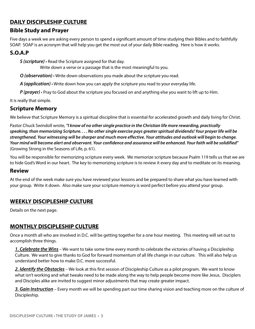## **DAILY DISCIPLESHIP CULTURE**

## **Bible Study and Prayer**

Five days a week we are asking every person to spend a significant amount of time studying their Bibles and to faithfully SOAP. SOAP is an acronym that will help you get the most out of your daily Bible reading. Here is how it works.

## **S.O.A.P**

*S (scripture)* • Read the Scripture assigned for that day.

Write down a verse or a passage that is the most meaningful to you.

*O (observation)* • Write down observations you made about the scripture you read.

*A (application)* • Write down how you can apply the scripture you read to your everyday life.

*P (prayer)* • Pray to God about the scripture you focused on and anything else you want to lift up to Him.

It is really that simple.

### **Scripture Memory**

We believe that Scripture Memory is a spiritual discipline that is essential for accelerated growth and daily living for Christ.

Pastor Chuck Swindoll wrote, *"I know of no other single practice in the Christian life more rewarding, practically speaking, than memorizing Scripture. . . . No other single exercise pays greater spiritual dividends! Your prayer life will be strengthened. Your witnessing will be sharper and much more effective. Your attitudes and outlook will begin to change. Your mind will become alert and observant. Your confidence and assurance will be enhanced. Your faith will be solidified"* (Growing Strong in the Seasons of Life, p. 61).

You will be responsible for memorizing scripture every week. We memorize scripture because Psalm 119 tells us that we are to hide God's Word in our heart. The key to memorizing scripture is to review it every day and to meditate on its meaning.

#### **Review**

At the end of the week make sure you have reviewed your lessons and be prepared to share what you have learned with your group. Write it down. Also make sure your scripture memory is word perfect before you attend your group.

## **WEEKLY DISCIPLESHIP CULTURE**

Details on the next page.

## **MONTHLY DISCIPLESHIP CULTURE**

Once a month all who are involved in D.C. will be getting together for a one hour meeting. This meeting will set out to accomplish three things.

*1. Celebrate the Wins* – We want to take some time every month to celebrate the victories of having a Discipleship Culture. We want to give thanks to God for forward momentum of all life change in our culture. This will also help us understand better how to make D.C. more successful.

*2. Identify the Obstacles* – We look at this first session of Discipleship Culture as a pilot program. We want to know what isn't working and what tweaks need to be made along the way to help people become more like Jesus. Disciplers and Disciples alike are invited to suggest minor adjustments that may create greater impact.

*3. Gain Instruction* – Every month we will be spending part our time sharing vision and teaching more on the culture of Discipleship.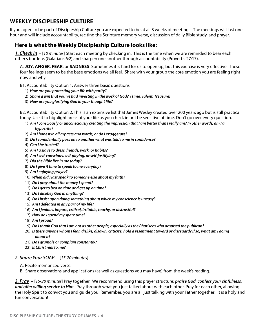## **WEEKLY DISCIPLESHIP CULTURE**

If you agree to be part of Discipleship Culture you are expected to be at all 8 weeks of meetings. The meetings will last one hour and will include accountability, reciting the Scripture memory verse, discussion of daily Bible study, and prayer.

## **Here is what the Weekly Discipleship Culture looks like:**

*1. Check In* – [*10 minutes*] Start each meeting by checking in. This is the time when we are reminded to bear each other's burdens (Galatians 6:2) and sharpen one another through accountability (Proverbs 27:17).

A. **JOY**, **ANGER**, **FEAR**, or **SADNESS**: Sometimes it is hard for us to open up, but this exercise is very effective. These four feelings seem to be the base emotions we all feel. Share with your group the core emotion you are feeling right now and why.

- B1. Accountability Option 1: Answer three basic questions
	- 1) *How are you protecting your life with purity?*
	- 2) *Share a win that you've had investing in the work of God? (Time, Talent, Treasure)*
	- 3) *How are you glorifying God in your thought life?*

B2. Accountability Option 2: This is an extensive list that James Wesley created over 200 years ago but is still practical today. Use it to highlight areas of your life as you check in but be sensitive of time. Don't go over every question.

- 1) *Am I consciously or unconsciously creating the impression that I am better than I really am? In other words, am I a hypocrite?*
- 2) *Am I honest in all my acts and words, or do I exaggerate?*
- 3) *Do I confidentially pass on to another what was told to me in confidence?*
- 4) *Can I be trusted?*
- 5) *Am I a slave to dress, friends, work, or habits?*
- 6) *Am I self-conscious, self-pitying, or self-justifying?*
- 7) *Did the Bible live in me today?*
- 8) *Do I give it time to speak to me everyday?*
- 9) *Am I enjoying prayer?*
- 10) *When did I last speak to someone else about my faith?*
- 11) *Do I pray about the money I spend?*
- 12) *Do I get to bed on time and get up on time?*
- 13) *Do I disobey God in anything?*
- 14) *Do I insist upon doing something about which my conscience is uneasy?*
- 15) *Am I defeated in any part of my life?*
- 16) *Am I jealous, impure, critical, irritable, touchy, or distrustful?*
- 17) *How do I spend my spare time?*
- 18) *Am I proud?*
- 19) *Do I thank God that I am not as other people, especially as the Pharisees who despised the publican?*
- 20) *Is there anyone whom I fear, dislike, disown, criticize, hold a resentment toward or disregard? If so, what am I doing about it?*
- 21) *Do I grumble or complain constantly?*
- 22) *Is Christ real to me?*

#### *2. Share Your SOAP* – [*15-20 minutes*]

- A. Recite memorized verse.
- B. Share observations and applications (as well as questions you may have) from the week's reading.

*3. Pray* – [*15-20 minutes*] Pray together. We recommend using this prayer structure: *praise God, confess your sinfulness, and offer willing service to Him*. Pray through what you just talked about with each other. Pray for each other, allowing the Holy Spirit to convict you and guide you. Remember, you are all just talking with your Father together! It is a holy and fun conversation!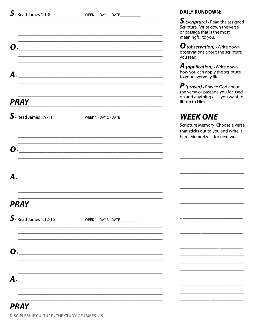WEEK 1 . DAY 1 . DATE\_\_\_\_\_\_\_\_\_\_\_

**DAILY RUNDOWN:** 

|                                     |                                                                                                                     | $\boldsymbol{S}$ (scripture) $\boldsymbol{\cdot}$ Read the assigned<br>Scripture. Write down the verse<br>or passage that is the most<br>meaningful to you. |
|-------------------------------------|---------------------------------------------------------------------------------------------------------------------|-------------------------------------------------------------------------------------------------------------------------------------------------------------|
| Ο.                                  | <u> 1980 - Jan Alexandri, martxa alemaniar amerikan basar da basar da basar da basar da basar da basar da basar</u> | $\boldsymbol{O}$ (observation) $\cdot$ Write down<br>observations about the scripture<br>you read.                                                          |
| А.                                  | <u> 1989 - Jan Barnett, fransk politiker (d. 1989)</u>                                                              | <b>A</b> (application) $\cdot$ Write down<br>how you can apply the scripture<br>to your everyday life.                                                      |
| <b>PRAY</b>                         |                                                                                                                     | $\bm{P}$ (prayer) $\cdot$ Pray to God about<br>the verse or passage you focused<br>on and anything else you want to<br>lift up to Him.                      |
| $\mathsf{S}\cdot$ Read James 1:9-11 | WEEK 1 . DAY 2 . DATE                                                                                               | <b>WEEK ONE</b><br>Scripture Memory: Choose a verse<br>that sticks out to you and write it<br>here. Memorize it for next week.                              |
|                                     |                                                                                                                     |                                                                                                                                                             |
| A                                   |                                                                                                                     |                                                                                                                                                             |
| <b>PRAY</b>                         |                                                                                                                     |                                                                                                                                                             |
| $\mathbf S$ · Read James 1:12-15    | WEEK 1 . DAY 3 . DATE                                                                                               |                                                                                                                                                             |
| О.                                  |                                                                                                                     |                                                                                                                                                             |
| A                                   |                                                                                                                     |                                                                                                                                                             |
| <b>PRAY</b>                         |                                                                                                                     |                                                                                                                                                             |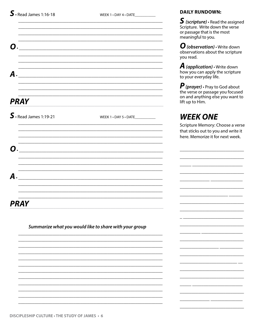WEEK 1 . DAY 4 . DATE

| О.                                                     |                                                  |
|--------------------------------------------------------|--------------------------------------------------|
| А.                                                     |                                                  |
|                                                        |                                                  |
| PRAY                                                   |                                                  |
| $\textsf{S}\cdot$ Read James 1:19-21                   | WEEK $1 \cdot$ DAY $5 \cdot$ DATE ______________ |
|                                                        |                                                  |
| О.                                                     |                                                  |
|                                                        |                                                  |
| A                                                      |                                                  |
|                                                        |                                                  |
| PRAY                                                   |                                                  |
| Summarize what you would like to share with your group |                                                  |
|                                                        |                                                  |
|                                                        |                                                  |
|                                                        |                                                  |
|                                                        |                                                  |
|                                                        |                                                  |

## **DAILY RUNDOWN:**

 $S$  (scripture)  $\cdot$  Read the assigned Scripture. Write down the verse or passage that is the most meaningful to you.

 $\boldsymbol{O}$  (observation)  $\cdot$  Write down<br>observations about the scripture you read.

**A** (application)  $\cdot$  Write down how you can apply the scripture to your everyday life.

 $P$  (prayer)  $\cdot$  Pray to God about<br>the verse or passage you focused on and anything else you want to lift up to Him.

# **WEEK ONE**

Scripture Memory: Choose a verse that sticks out to you and write it here. Memorize it for next week.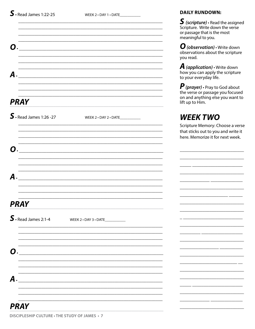WEEK 2 . DAY 1 . DATE\_\_\_\_\_\_\_\_\_\_\_

|                                   | <u> 1989 - Johann Barn, mars ann an t-Amhain ann an t-Amhain ann an t-Amhain ann an t-Amhain an t-Amhain an t-Amh</u> | $\bullet$ (surprunc) $\cdot$<br>Scripture. Write<br>or passage that is<br>meaningful to yo       |
|-----------------------------------|-----------------------------------------------------------------------------------------------------------------------|--------------------------------------------------------------------------------------------------|
| <b>O</b> .                        |                                                                                                                       | $\boldsymbol{O}$ (observatio)<br>observations ab<br>you read.                                    |
| А.                                |                                                                                                                       | $\boldsymbol{A}$ (application<br>how you can ap<br>to your everyday                              |
| <b>PRAY</b>                       |                                                                                                                       | $\boldsymbol{P}$ (prayer) $\cdot$ Pra<br>the verse or pass<br>on and anything<br>lift up to Him. |
| $\mathbf S$ · Read James 1:26 -27 | WEEK 2 . DAY 2 . DATE____________                                                                                     | WEEK TV<br>Scripture Memo<br>that sticks out to<br>here. Memorize                                |
| O.                                | <u> 2001 - Jan Samuel Barbara, margaret eta biztanleria (h. 1878).</u>                                                |                                                                                                  |
|                                   | $A$ .                                                                                                                 |                                                                                                  |
| <b>PRAY</b>                       | <u> 2000 - 2000 - 2000 - 2000 - 2000 - 2000 - 2000 - 2000 - 2000 - 2000 - 2000 - 2000 - 2000 - 2000 - 2000 - 200</u>  |                                                                                                  |
| $\mathbf S$ · Read James 2:1-4    | WEEK 2 . DAY 3 . DATE____________                                                                                     |                                                                                                  |
| <b>O</b> .                        |                                                                                                                       |                                                                                                  |
| А.                                |                                                                                                                       |                                                                                                  |
| <b>PRAY</b>                       |                                                                                                                       |                                                                                                  |

 $S$  (scripture)  $\cdot$  Read the assigned down the verse s the most οu.

n) • Write down out the scripture

**i) •** Write down ply the scripture y life.

ay to God about sage you focused else you want to

# VO

ry: Choose a verse b you and write it it for next week.

<u> La Carlo III de la Carlo III de la Carlo III de la Carlo III de la Carlo III de la Carlo III de la Carlo III </u>

 $\overline{\phantom{a}}$ 

DISCIPLESHIP CULTURE · THE STUDY OF JAMES · 7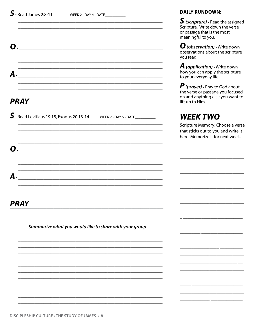|                                                                                                                                                                                                                    | or passage th<br>meaningful t                                                                    |
|--------------------------------------------------------------------------------------------------------------------------------------------------------------------------------------------------------------------|--------------------------------------------------------------------------------------------------|
| О.                                                                                                                                                                                                                 | $\boldsymbol{O}$ (observa<br>observations<br>you read.                                           |
| <u> 1989 - Johann Barn, mars ann an t-Amhain ann an t-Amhain ann an t-Amhain ann an t-Amhain ann an t-Amhain an t-</u><br><b>A.</b><br><u> 2000 - Jan Barnett, fransk politik (d. 1888)</u>                        | $\boldsymbol{A}$ (applicat<br>how you can<br>to your every                                       |
| <u> 1989 - Johann Barn, mars ann an t-Amhain ann an t-Amhain ann an t-Amhain ann an t-Amhain an t-Amhain an t-Amh</u><br><b>PRAY</b><br><u> 1989 - Johann Stoff, amerikansk politiker (d. 1989)</u>                | $\boldsymbol{P}$ (prayer) $\boldsymbol{\cdot}$<br>the verse or<br>on and anyth<br>lift up to Him |
| $\mathsf{S} \cdot$ Read Leviticus 19:18, Exodus 20:13-14 WEEK 2 $\cdot$ DAY 5 $\cdot$ DATE<br><u> 1989 - Jan James James James James James James James James James James James James James James James James J</u> | WEEK 1<br>Scripture Me<br>that sticks ou<br>here. Memor                                          |
| О.<br><u> 1980 - Jan James James Barnett, fransk politik (d. 1980)</u><br><u> 1989 - Johann Stoff, deutscher Stoff, der Stoff, der Stoff, der Stoff, der Stoff, der Stoff, der Stoff, der S</u>                    |                                                                                                  |
| А.<br><u> 1980 - Jan James James Barnett, amerikan berlindar (h. 1980).</u><br><u> 1989 - Johann Barn, mars ar breithinn ar chwaraeth a chwaraeth a chwaraeth a chwaraeth a chwaraeth a chwaraet</u>               | ______                                                                                           |
| <u> 1989 - Jan James James James James James James James James James James James James James James James James J</u><br><b>PRAY</b>                                                                                |                                                                                                  |
| Summarize what you would like to share with your group                                                                                                                                                             |                                                                                                  |
|                                                                                                                                                                                                                    |                                                                                                  |

## **DAILY RUNDOWN:**

S (scripture) · Read the assigned<br>Scripture. Write down the verse at is the most o you.

ation) • Write down about the scripture

tion) • Write down apply the scripture yday life.

Pray to God about passage you focused hing else you want to າ.

# **TWO**

mory: Choose a verse! ut to you and write it rize it for next week.

 $\overline{\phantom{a}}$ 

 $\overline{a}$ 

 $-$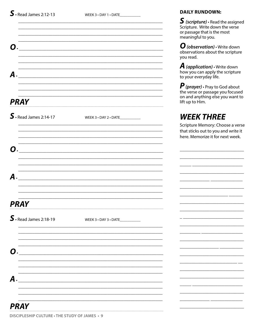WEEK 3 . DAY 1 . DATE\_\_\_\_\_\_\_\_\_\_\_

**DAILY RUNDOWN:** 

|                                  |                                                                                                                    | $\boldsymbol{S}$ (scripture) $\boldsymbol{\cdot}$ Read the assigned<br>Scripture. Write down the verse<br>or passage that is the most<br>meaningful to you. |
|----------------------------------|--------------------------------------------------------------------------------------------------------------------|-------------------------------------------------------------------------------------------------------------------------------------------------------------|
| O.                               |                                                                                                                    | $\boldsymbol{O}$ (observation) $\cdot$ Write down<br>observations about the scripture<br>you read.                                                          |
| А.                               | <u> 1989 - Jan James James James James James James James James James James James James James James James James</u> | <b>A</b> (application) $\cdot$ Write down<br>how you can apply the scripture<br>to your everyday life.                                                      |
| <b>PRAY</b>                      |                                                                                                                    | $\bm{P}$ (prayer) $\cdot$ Pray to God about<br>the verse or passage you focused<br>on and anything else you want to<br>lift up to Him.                      |
| $\mathbf S$ · Read James 2:14-17 | WEEK 3 . DAY 2 . DATE                                                                                              | <b>WEEK THREE</b><br>Scripture Memory: Choose a verse<br>that sticks out to you and write it<br>here. Memorize it for next week.                            |
|                                  |                                                                                                                    |                                                                                                                                                             |
| A                                |                                                                                                                    |                                                                                                                                                             |
| PRAY                             |                                                                                                                    |                                                                                                                                                             |
| $\mathbf S$ · Read James 2:18-19 | WEEK 3 . DAY 3 . DATE                                                                                              |                                                                                                                                                             |
| О.                               |                                                                                                                    |                                                                                                                                                             |
| A                                |                                                                                                                    |                                                                                                                                                             |
| <b>PRAY</b>                      |                                                                                                                    |                                                                                                                                                             |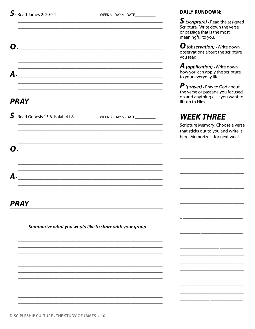WEEK 3 . DAY 4 . DATE

| O           |                                                        |                       |  |
|-------------|--------------------------------------------------------|-----------------------|--|
|             |                                                        |                       |  |
| A           |                                                        |                       |  |
|             |                                                        |                       |  |
|             |                                                        |                       |  |
| <b>PRAY</b> |                                                        |                       |  |
|             | $\textsf{S}\cdot$ Read Genesis 15:6, Isaiah 41:8       | WEEK 3 . DAY 5 . DATE |  |
| O           |                                                        |                       |  |
|             |                                                        |                       |  |
| A           |                                                        |                       |  |
|             |                                                        |                       |  |
| PRAY        |                                                        |                       |  |
|             | Summarize what you would like to share with your group |                       |  |
|             |                                                        |                       |  |
|             |                                                        |                       |  |
|             |                                                        |                       |  |
|             |                                                        |                       |  |
|             |                                                        |                       |  |
|             |                                                        |                       |  |
|             |                                                        |                       |  |

#### **DAILY RUNDOWN:**

S (scripture) · Read the assigned<br>Scripture. Write down the verse or passage that is the most meaningful to you.

 $\boldsymbol{O}$  (observation)  $\cdot$  Write down<br>observations about the scripture you read.

**A** (application)  $\cdot$  Write down how you can apply the scripture to your everyday life.

*P* (*prayer*) • Pray to God about<br>the verse or passage you focused<br>on and anything else you want to lift up to Him.

# **WEEK THREE**

Scripture Memory: Choose a verse that sticks out to you and write it here. Memorize it for next week.

 $\overline{a}$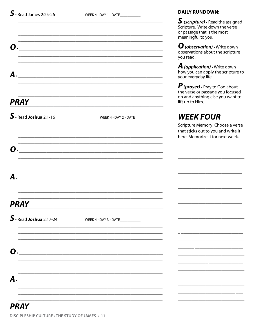WEEK 4 . DAY 1 . DATE\_\_\_\_\_\_\_\_\_\_\_\_

**DAILY RUNDOWN:** 

|                                                                                                                            | $\boldsymbol{S}$ (scripture) $\boldsymbol{\cdot}$ Read the assigned<br>Scripture. Write down the verse<br>or passage that is the most<br>meaningful to you. |
|----------------------------------------------------------------------------------------------------------------------------|-------------------------------------------------------------------------------------------------------------------------------------------------------------|
| Ο.<br><u> 1980 - Jan Barat, margaret amerikan basar dan berasal dari berasal dalam basa dan berasal dan berasal dalam </u> | $\boldsymbol{O}$ (observation) $\cdot$ Write down<br>observations about the scripture<br>you read.                                                          |
| А.<br><u> 1989 - Jan Barnett, fransk politiker (d. 1989)</u>                                                               | <b>A</b> (application) $\cdot$ Write down<br>how you can apply the scripture to<br>your everyday life.                                                      |
| <b>PRAY</b>                                                                                                                | $\bm{P}$ (prayer) $\cdot$ Pray to God about<br>the verse or passage you focused<br>on and anything else you want to<br>lift up to Him.                      |
| $\mathbf S$ . Read Joshua 2:1-16<br>WEEK 4 . DAY 2 . DATE                                                                  | <b>WEEK FOUR</b><br>Scripture Memory: Choose a verse<br>that sticks out to you and write it<br>here. Memorize it for next week.                             |
| 0.                                                                                                                         |                                                                                                                                                             |
| A<br><u> 1980 - Jan Barat, margaret amerikan basal dan berasal dari berasal dan berasal dan berasal dan berasal dan b</u>  |                                                                                                                                                             |
| <b>PRAY</b>                                                                                                                |                                                                                                                                                             |
| $\mathbf S$ · Read Joshua 2:17-24<br>WEEK 4 . DAY 3 . DATE____________                                                     |                                                                                                                                                             |
| О.                                                                                                                         |                                                                                                                                                             |
| A                                                                                                                          |                                                                                                                                                             |
| <b>PRAY</b>                                                                                                                |                                                                                                                                                             |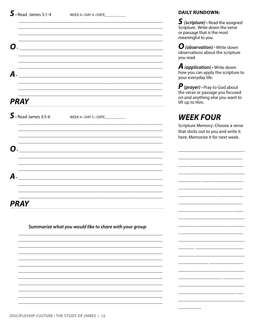|                                |                                                                                                                               | scripture.<br>or passage<br>meaningfu                                  |
|--------------------------------|-------------------------------------------------------------------------------------------------------------------------------|------------------------------------------------------------------------|
| Ω.                             |                                                                                                                               | $O$ (obser<br>observatio<br>you read.                                  |
| А.                             | <u> 1980 - Jan James James Barnett, fransk politik (d. 1980)</u><br><u> 1989 - John Stone, amerikansk politiker (d. 1989)</u> | $\boldsymbol{A}$ (applic<br>how you ca<br>your every                   |
| <b>PRAY</b>                    |                                                                                                                               | $\boldsymbol{P}$ (prayer<br>the verse o<br>on and any<br>lift up to Hi |
| $\mathbf S$ · Read James 3:5-6 | WEEK 4 . DAY 5 . DATE _____________                                                                                           | WEEK                                                                   |
|                                |                                                                                                                               | Scripture M<br>that sticks<br>here. Mem                                |
| Ω.                             | <u> 1980 - Jan Barbara, margaret eta biztanleria (h. 1980).</u>                                                               |                                                                        |
| А.                             | <u> 1989 - Johann John Stone, mensk politik (f. 1989)</u>                                                                     | المستنقل المست                                                         |
|                                |                                                                                                                               |                                                                        |
| <b>PRAY</b>                    |                                                                                                                               |                                                                        |
|                                | Summarize what you would like to share with your group                                                                        |                                                                        |
|                                |                                                                                                                               |                                                                        |
|                                |                                                                                                                               |                                                                        |

#### **DAILY RUNDOWN:**

S (scripture) · Read the assigned<br>Scripture. Write down the verse that is the most Il to you.

**vation) ·** Write down ns about the scripture

ation) • Write down an apply the scripture to day life.

y) • Pray to God about or passage you focused thing else you want to im.

# **FOUR**

Aemory: Choose a verse out to you and write it orize it for next week.

 $-$ 

 $-$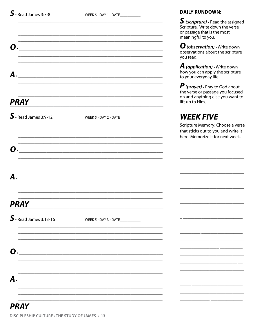WEEK 5 . DAY 1 . DATE\_\_\_\_\_\_\_\_\_\_\_\_

**DAILY RUNDOWN:** 

e

|                                  |                                                                                                                       | $\sum$ (scripture) $\cdot$ Read the assigned<br>Scripture. Write down the verse<br>or passage that is the most<br>meaningful to you.   |
|----------------------------------|-----------------------------------------------------------------------------------------------------------------------|----------------------------------------------------------------------------------------------------------------------------------------|
|                                  | <u> 1989 - Johann Stoff, deutscher Stoff, der Stoff, der Stoff, der Stoff, der Stoff, der Stoff, der Stoff, der S</u> | $\boldsymbol{O}$ (observation) $\cdot$ Write down<br>observations about the scripture<br>you read.                                     |
| А.                               |                                                                                                                       | <b>A</b> (application) $\cdot$ Write down<br>how you can apply the scripture<br>to your everyday life.                                 |
| <b>PRAY</b>                      |                                                                                                                       | $\bm{P}$ (prayer) $\cdot$ Pray to God about<br>the verse or passage you focused<br>on and anything else you want to<br>lift up to Him. |
| $\mathsf{S}$ · Read James 3:9-12 | WEEK $5 \cdot$ DAY 2 $\cdot$ DATE                                                                                     | <b>WEEK FIVE</b>                                                                                                                       |
|                                  |                                                                                                                       | Scripture Memory: Choose a verse<br>that sticks out to you and write it<br>here. Memorize it for next week.                            |
|                                  |                                                                                                                       | <u> 2000 - Jan James James Jan James James Jan James James Jan James James Jan James James Jan Jan James James J</u>                   |
|                                  |                                                                                                                       |                                                                                                                                        |
| PRAY                             |                                                                                                                       |                                                                                                                                        |
| $\mathbf S$ · Read James 3:13-16 | WEEK 5 . DAY 3 . DATE____________                                                                                     |                                                                                                                                        |
|                                  |                                                                                                                       |                                                                                                                                        |
|                                  |                                                                                                                       |                                                                                                                                        |
| $\boldsymbol{A}$ .               |                                                                                                                       |                                                                                                                                        |
|                                  |                                                                                                                       |                                                                                                                                        |
| <b>PRAY</b>                      |                                                                                                                       |                                                                                                                                        |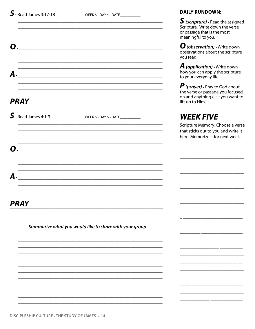| Ω                     |                                                        |
|-----------------------|--------------------------------------------------------|
| $\boldsymbol{A}$ .    |                                                        |
| <b>PRAY</b>           |                                                        |
| $S.$ Read James 4:1-3 | WEEK 5 . DAY 5 . DATE                                  |
| Ω                     |                                                        |
| A                     |                                                        |
| <b>PRAY</b>           |                                                        |
|                       | Summarize what you would like to share with your group |
|                       |                                                        |
|                       |                                                        |

#### **DAILY RUNDOWN:**

 $S$  (scripture)  $\cdot$  Read the assigned Scripture. Write down the verse or passage that is the most meaningful to you.

 $\boldsymbol{O}$  (observation)  $\cdot$  Write down<br>observations about the scripture you read.

**A** (application)  $\cdot$  Write down how you can apply the scripture to your everyday life.

 $\bf P$  (prayer)  $\cdot$  Pray to God about<br>the verse or passage you focused on and anything else you want to lift up to Him.

# **WEEK FIVE**

Scripture Memory: Choose a verse that sticks out to you and write it here. Memorize it for next week.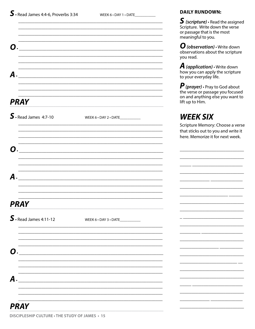WEEK 6 . DAY 1 . DATE\_\_\_\_\_\_\_\_\_\_\_\_

**DAILY RUNDOWN:** 

|                                     |                       | $\blacktriangleright$ (scripture) $\cdot$ Read the assigned<br>Scripture. Write down the verse<br>or passage that is the most<br>meaningful to you. |
|-------------------------------------|-----------------------|-----------------------------------------------------------------------------------------------------------------------------------------------------|
|                                     |                       | $\boldsymbol{O}$ (observation) $\cdot$ Write down<br>observations about the scripture<br>you read.                                                  |
| А.                                  |                       | <b>A</b> (application) $\cdot$ Write down<br>how you can apply the scripture<br>to your everyday life.                                              |
| <b>PRAY</b>                         |                       | $\boldsymbol{P}$ (prayer) $\cdot$ Pray to God about<br>the verse or passage you focused<br>on and anything else you want to<br>lift up to Him.      |
| $\mathbf S \cdot$ Read James 4:7-10 | WEEK 6 . DAY 2 . DATE | <b>WEEK SIX</b><br>Scripture Memory: Choose a verse                                                                                                 |
| $\boldsymbol{\Omega}$               |                       | that sticks out to you and write it<br>here. Memorize it for next week.                                                                             |
|                                     |                       |                                                                                                                                                     |
|                                     |                       |                                                                                                                                                     |
| PRAY                                |                       |                                                                                                                                                     |
| $\mathbf S$ · Read James 4:11-12    | WEEK 6 . DAY 3 . DATE |                                                                                                                                                     |
| O                                   |                       |                                                                                                                                                     |
| A                                   |                       |                                                                                                                                                     |
| <b>PRAY</b>                         |                       |                                                                                                                                                     |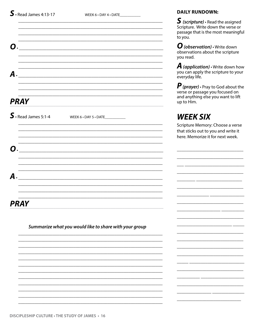А.

**PRAY** 

Ο.

А.

 $S.$  Read James 5:1-4

WEEK 6 · DAY 5 · DATE

#### **DAILY RUNDOWN:**

 $S$  (scripture)  $\cdot$  Read the assigned Scripture. Write down the verse or passage that is the most meaningful to you.

 $\mathbf{O}$  (observation)  $\cdot$  Write down observations about the scripture vou read.

**A** (application)  $\cdot$  Write down how you can apply the scripture to your everyday life.

 $\boldsymbol{P}$  (prayer)  $\cdot$  Pray to God about the verse or passage you focused on and anything else you want to lift up to Him.

# **WEEK SIX**

Scripture Memory: Choose a verse that sticks out to you and write it here. Memorize it for next week.

**PRAY** 

Summarize what you would like to share with your group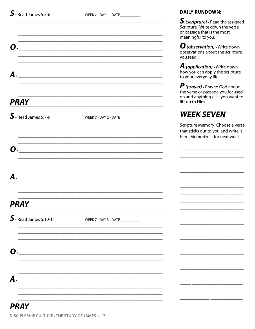WEEK 7 . DAY 1 . DATE\_\_\_\_\_\_\_\_\_\_\_

**DAILY RUNDOWN:** 

|                                  |                                                                 | $\boldsymbol{S}$ (scripture) $\boldsymbol{\cdot}$ Read the assigned<br>Scripture. Write down the verse<br>or passage that is the most<br>meaningful to you. |
|----------------------------------|-----------------------------------------------------------------|-------------------------------------------------------------------------------------------------------------------------------------------------------------|
| $\bf{C}$                         | <u> 2000 - Jan James James Barbara, president eta idazlea (</u> | $\boldsymbol{O}$ (observation) $\cdot$ Write down<br>observations about the scripture<br>you read.                                                          |
| А.                               | <u> 1989 - Andrea Stadt Britain, amerikansk politik (</u>       | <b>A</b> (application) $\cdot$ Write down<br>how you can apply the scripture<br>to your everyday life.                                                      |
| <b>PRAY</b>                      |                                                                 | $\bm{P}$ (prayer) $\cdot$ Pray to God about<br>the verse or passage you focused<br>on and anything else you want to<br>lift up to Him.                      |
| $\mathbf S$ · Read James 5:7-9   | WEEK 7 . DAY 2 . DATE                                           | <b>WEEK SEVEN</b>                                                                                                                                           |
|                                  |                                                                 | Scripture Memory: Choose a verse<br>that sticks out to you and write it<br>here. Memorize it for next week.                                                 |
|                                  |                                                                 |                                                                                                                                                             |
| $\boldsymbol{A}$                 |                                                                 |                                                                                                                                                             |
|                                  |                                                                 |                                                                                                                                                             |
| <b>PRAY</b>                      |                                                                 |                                                                                                                                                             |
| $\mathbf S$ · Read James 5:10-11 | WEEK 7 . DAY 3 . DATE                                           |                                                                                                                                                             |
| O                                |                                                                 |                                                                                                                                                             |
|                                  |                                                                 |                                                                                                                                                             |
| A                                |                                                                 |                                                                                                                                                             |
| <b>PRAY</b>                      |                                                                 |                                                                                                                                                             |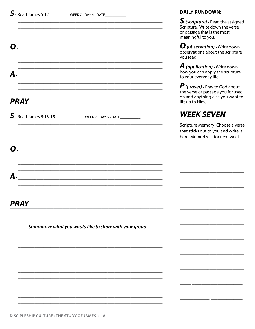| WEEK 7 . DAY 5 . DATE                                  |
|--------------------------------------------------------|
|                                                        |
|                                                        |
|                                                        |
|                                                        |
|                                                        |
|                                                        |
| Summarize what you would like to share with your group |
|                                                        |

### **DAILY RUNDOWN:**

 $S$  (scripture)  $\cdot$  Read the assigned Scripture. Write down the verse or passage that is the most meaningful to you.

 $\boldsymbol{O}$  (observation)  $\cdot$  Write down<br>observations about the scripture you read.

**A** (application)  $\cdot$  Write down how you can apply the scripture to your everyday life.

 $P$  (prayer)  $\cdot$  Pray to God about<br>the verse or passage you focused on and anything else you want to lift up to Him.

# **WEEK SEVEN**

Scripture Memory: Choose a verse that sticks out to you and write it here. Memorize it for next week.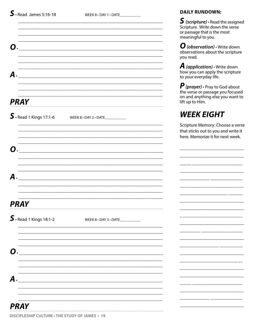WEEK 8 . DAY 1 . DATE\_\_\_\_\_\_\_\_\_\_\_\_

**DAILY RUNDOWN:** 

|                                                                                                                      | $\boldsymbol{S}$ (scripture) $\boldsymbol{\cdot}$ Read the assigned<br>Scripture. Write down the verse<br>or passage that is the most<br>meaningful to you. |
|----------------------------------------------------------------------------------------------------------------------|-------------------------------------------------------------------------------------------------------------------------------------------------------------|
| $\bf{C}$<br><u> 2000 - Jan James James Barnett, mensk politik (d. 1982)</u>                                          | $\boldsymbol{O}$ (observation) $\cdot$ Write down<br>observations about the scripture<br>you read.                                                          |
| А.<br><u> 1980 - Jan James James Barnett, fransk politik (d. 1980)</u>                                               | <b>A</b> (application) $\cdot$ Write down<br>how you can apply the scripture<br>to your everyday life.                                                      |
| <b>PRAY</b>                                                                                                          | $\bm{P}$ (prayer) $\cdot$ Pray to God about<br>the verse or passage you focused<br>on and anything else you want to<br>lift up to Him.                      |
| $\mathbf{S}$ • Read 1 Kings 17:1-6<br>WEEK $8 \cdot$ DAY 2 $\cdot$ DATE _____________                                | <b>WEEK EIGHT</b>                                                                                                                                           |
|                                                                                                                      | Scripture Memory: Choose a verse<br>that sticks out to you and write it<br>here. Memorize it for next week.                                                 |
| <u> 1980 - Antonio Alemania, presidente de la contrada de la contrada de la contrada de la contrada de la contra</u> |                                                                                                                                                             |
| A                                                                                                                    |                                                                                                                                                             |
|                                                                                                                      |                                                                                                                                                             |
| <b>PRAY</b>                                                                                                          |                                                                                                                                                             |
| $\mathbf S$ · Read 1 Kings 18:1-2<br>WEEK 8 . DAY 3 . DATE                                                           |                                                                                                                                                             |
| $\bf{C}$                                                                                                             |                                                                                                                                                             |
|                                                                                                                      |                                                                                                                                                             |
| A                                                                                                                    |                                                                                                                                                             |
| <b>PRAY</b>                                                                                                          |                                                                                                                                                             |